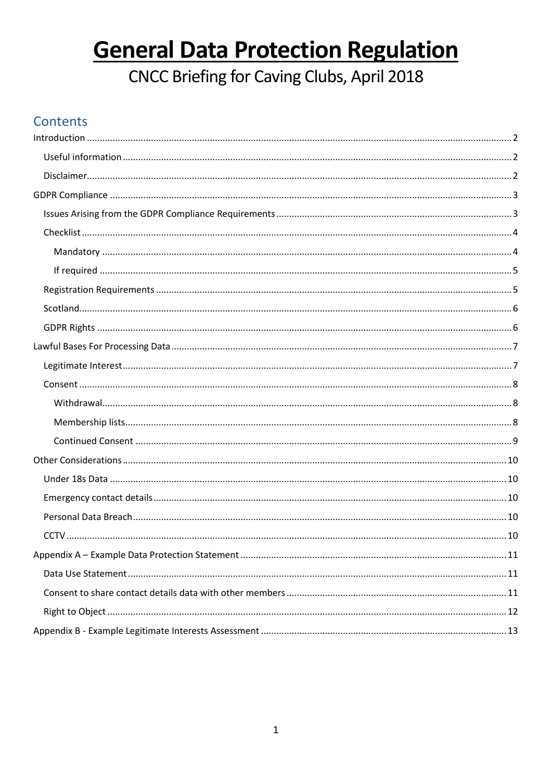# **General Data Protection Regulation**

CNCC Briefing for Caving Clubs, April 2018

## Contents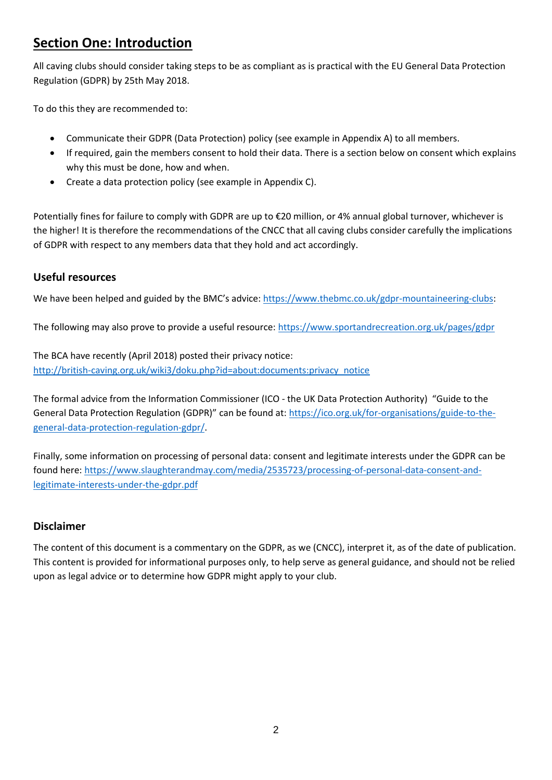### <span id="page-1-0"></span>**Section One: Introduction**

All caving clubs should consider taking steps to be as compliant as is practical with the EU General Data Protection Regulation (GDPR) by 25th May 2018.

To do this they are recommended to:

- Communicate their GDPR (Data Protection) policy (see example in Appendix A) to all members.
- If required, gain the members consent to hold their data. There is a section below on consent which explains why this must be done, how and when.
- Create a data protection policy (see example in Appendix C).

Potentially fines for failure to comply with GDPR are up to €20 million, or 4% annual global turnover, whichever is the higher! It is therefore the recommendations of the CNCC that all caving clubs consider carefully the implications of GDPR with respect to any members data that they hold and act accordingly.

#### <span id="page-1-1"></span>**Useful resources**

We have been helped and guided by the BMC's advice: [https://www.thebmc.co.uk/gdpr-mountaineering-clubs:](https://www.thebmc.co.uk/gdpr-mountaineering-clubs)

The following may also prove to provide a useful resource:<https://www.sportandrecreation.org.uk/pages/gdpr>

The BCA have recently (April 2018) posted their privacy notice: [http://british-caving.org.uk/wiki3/doku.php?id=about:documents:privacy\\_notice](http://british-caving.org.uk/wiki3/doku.php?id=about:documents:privacy_notice)

The formal advice from the Information Commissioner (ICO - the UK Data Protection Authority) "Guide to the General Data Protection Regulation (GDPR)" can be found at[: https://ico.org.uk/for-organisations/guide-to-the](https://ico.org.uk/for-organisations/guide-to-the-general-data-protection-regulation-gdpr/)[general-data-protection-regulation-gdpr/.](https://ico.org.uk/for-organisations/guide-to-the-general-data-protection-regulation-gdpr/)

Finally, some information on processing of personal data: consent and legitimate interests under the GDPR can be found here: [https://www.slaughterandmay.com/media/2535723/processing-of-personal-data-consent-and](https://www.slaughterandmay.com/media/2535723/processing-of-personal-data-consent-and-legitimate-interests-under-the-gdpr.pdf)[legitimate-interests-under-the-gdpr.pdf](https://www.slaughterandmay.com/media/2535723/processing-of-personal-data-consent-and-legitimate-interests-under-the-gdpr.pdf)

#### <span id="page-1-2"></span>**Disclaimer**

<span id="page-1-3"></span>The content of this document is a commentary on the GDPR, as we (CNCC), interpret it, as of the date of publication. This content is provided for informational purposes only, to help serve as general guidance, and should not be relied upon as legal advice or to determine how GDPR might apply to your club.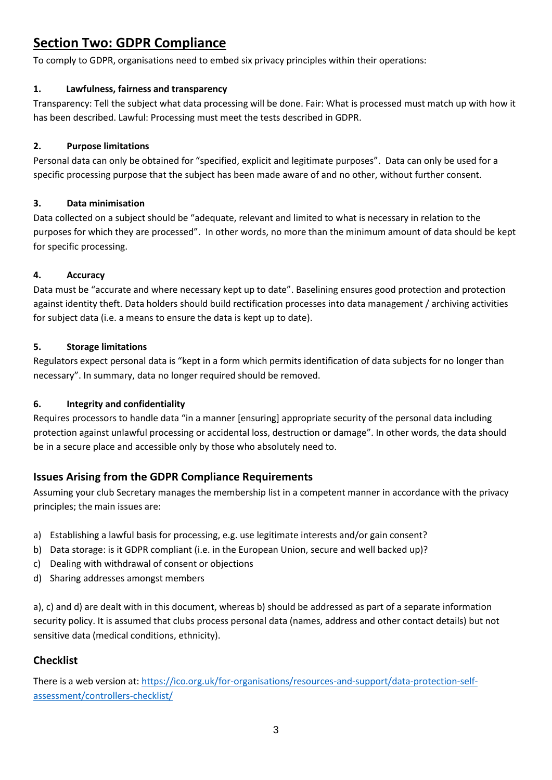## **Section Two: GDPR Compliance**

To comply to GDPR, organisations need to embed six privacy principles within their operations:

#### **1. Lawfulness, fairness and transparency**

Transparency: Tell the subject what data processing will be done. Fair: What is processed must match up with how it has been described. Lawful: Processing must meet the tests described in GDPR.

#### **2. Purpose limitations**

Personal data can only be obtained for "specified, explicit and legitimate purposes". Data can only be used for a specific processing purpose that the subject has been made aware of and no other, without further consent.

#### **3. Data minimisation**

Data collected on a subject should be "adequate, relevant and limited to what is necessary in relation to the purposes for which they are processed". In other words, no more than the minimum amount of data should be kept for specific processing.

#### **4. Accuracy**

Data must be "accurate and where necessary kept up to date". Baselining ensures good protection and protection against identity theft. Data holders should build rectification processes into data management / archiving activities for subject data (i.e. a means to ensure the data is kept up to date).

#### **5. Storage limitations**

Regulators expect personal data is "kept in a form which permits identification of data subjects for no longer than necessary". In summary, data no longer required should be removed.

#### **6. Integrity and confidentiality**

Requires processors to handle data "in a manner [ensuring] appropriate security of the personal data including protection against unlawful processing or accidental loss, destruction or damage". In other words, the data should be in a secure place and accessible only by those who absolutely need to.

#### <span id="page-2-0"></span>**Issues Arising from the GDPR Compliance Requirements**

Assuming your club Secretary manages the membership list in a competent manner in accordance with the privacy principles; the main issues are:

- a) Establishing a lawful basis for processing, e.g. use legitimate interests and/or gain consent?
- b) Data storage: is it GDPR compliant (i.e. in the European Union, secure and well backed up)?
- c) Dealing with withdrawal of consent or objections
- d) Sharing addresses amongst members

a), c) and d) are dealt with in this document, whereas b) should be addressed as part of a separate information security policy. It is assumed that clubs process personal data (names, address and other contact details) but not sensitive data (medical conditions, ethnicity).

#### <span id="page-2-1"></span>**Checklist**

There is a web version at[: https://ico.org.uk/for-organisations/resources-and-support/data-protection-self](https://ico.org.uk/for-organisations/resources-and-support/data-protection-self-assessment/controllers-checklist/)[assessment/controllers-checklist/](https://ico.org.uk/for-organisations/resources-and-support/data-protection-self-assessment/controllers-checklist/)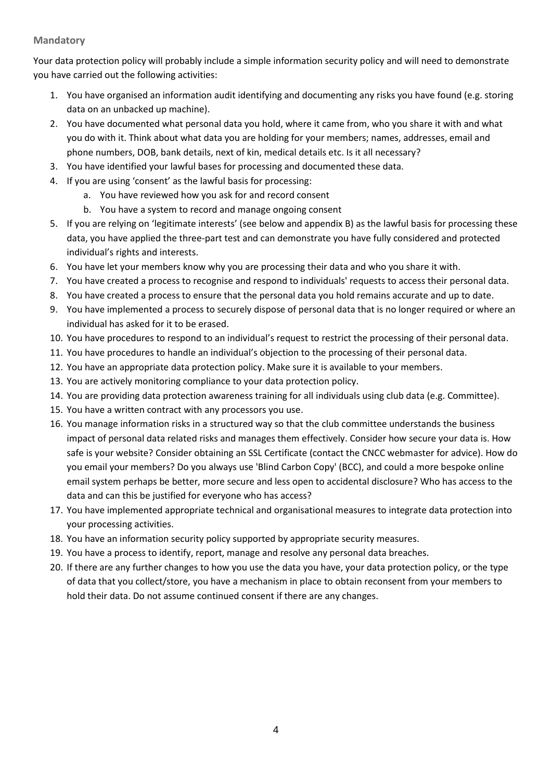#### <span id="page-3-0"></span>**Mandatory**

Your data protection policy will probably include a simple information security policy and will need to demonstrate you have carried out the following activities:

- 1. You have organised an information audit identifying and documenting any risks you have found (e.g. storing data on an unbacked up machine).
- 2. You have documented what personal data you hold, where it came from, who you share it with and what you do with it. Think about what data you are holding for your members; names, addresses, email and phone numbers, DOB, bank details, next of kin, medical details etc. Is it all necessary?
- 3. You have identified your lawful bases for processing and documented these data.
- 4. If you are using 'consent' as the lawful basis for processing:
	- a. You have reviewed how you ask for and record consent
	- b. You have a system to record and manage ongoing consent
- 5. If you are relying on 'legitimate interests' (see below and appendix B) as the lawful basis for processing these data, you have applied the three-part test and can demonstrate you have fully considered and protected individual's rights and interests.
- 6. You have let your members know why you are processing their data and who you share it with.
- 7. You have created a process to recognise and respond to individuals' requests to access their personal data.
- 8. You have created a process to ensure that the personal data you hold remains accurate and up to date.
- 9. You have implemented a process to securely dispose of personal data that is no longer required or where an individual has asked for it to be erased.
- 10. You have procedures to respond to an individual's request to restrict the processing of their personal data.
- 11. You have procedures to handle an individual's objection to the processing of their personal data.
- 12. You have an appropriate data protection policy. Make sure it is available to your members.
- 13. You are actively monitoring compliance to your data protection policy.
- 14. You are providing data protection awareness training for all individuals using club data (e.g. Committee).
- 15. You have a written contract with any processors you use.
- 16. You manage information risks in a structured way so that the club committee understands the business impact of personal data related risks and manages them effectively. Consider how secure your data is. How safe is your website? Consider obtaining an SSL Certificate (contact the CNCC webmaster for advice). How do you email your members? Do you always use 'Blind Carbon Copy' (BCC), and could a more bespoke online email system perhaps be better, more secure and less open to accidental disclosure? Who has access to the data and can this be justified for everyone who has access?
- 17. You have implemented appropriate technical and organisational measures to integrate data protection into your processing activities.
- 18. You have an information security policy supported by appropriate security measures.
- 19. You have a process to identify, report, manage and resolve any personal data breaches.
- <span id="page-3-1"></span>20. If there are any further changes to how you use the data you have, your data protection policy, or the type of data that you collect/store, you have a mechanism in place to obtain reconsent from your members to hold their data. Do not assume continued consent if there are any changes.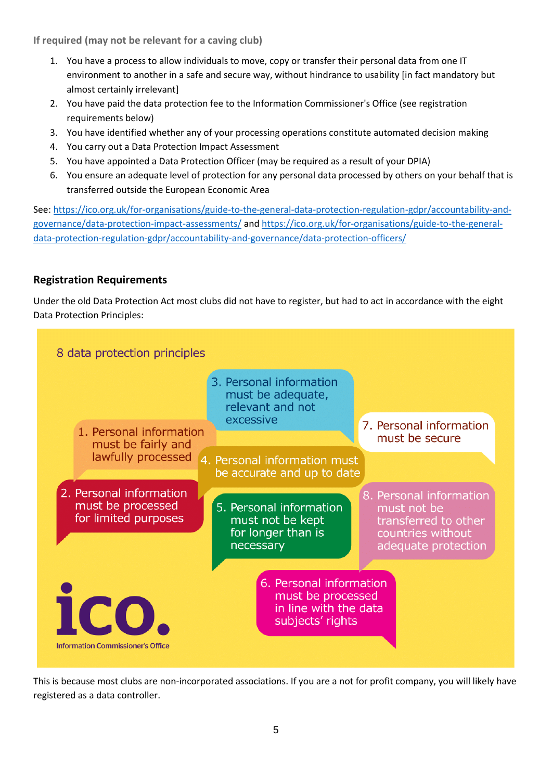**If required (may not be relevant for a caving club)**

- 1. You have a process to allow individuals to move, copy or transfer their personal data from one IT environment to another in a safe and secure way, without hindrance to usability [in fact mandatory but almost certainly irrelevant]
- 2. You have paid the data protection fee to the Information Commissioner's Office (see registration requirements below)
- 3. You have identified whether any of your processing operations constitute automated decision making
- 4. You carry out a Data Protection Impact Assessment
- 5. You have appointed a Data Protection Officer (may be required as a result of your DPIA)
- 6. You ensure an adequate level of protection for any personal data processed by others on your behalf that is transferred outside the European Economic Area

See[: https://ico.org.uk/for-organisations/guide-to-the-general-data-protection-regulation-gdpr/accountability-and](https://ico.org.uk/for-organisations/guide-to-the-general-data-protection-regulation-gdpr/accountability-and-governance/data-protection-impact-assessments/)[governance/data-protection-impact-assessments/](https://ico.org.uk/for-organisations/guide-to-the-general-data-protection-regulation-gdpr/accountability-and-governance/data-protection-impact-assessments/) an[d https://ico.org.uk/for-organisations/guide-to-the-general](https://ico.org.uk/for-organisations/guide-to-the-general-data-protection-regulation-gdpr/accountability-and-governance/data-protection-officers/)[data-protection-regulation-gdpr/accountability-and-governance/data-protection-officers/](https://ico.org.uk/for-organisations/guide-to-the-general-data-protection-regulation-gdpr/accountability-and-governance/data-protection-officers/)

#### <span id="page-4-0"></span>**Registration Requirements**

Under the old Data Protection Act most clubs did not have to register, but had to act in accordance with the eight Data Protection Principles:



This is because most clubs are non-incorporated associations. If you are a not for profit company, you will likely have registered as a data controller.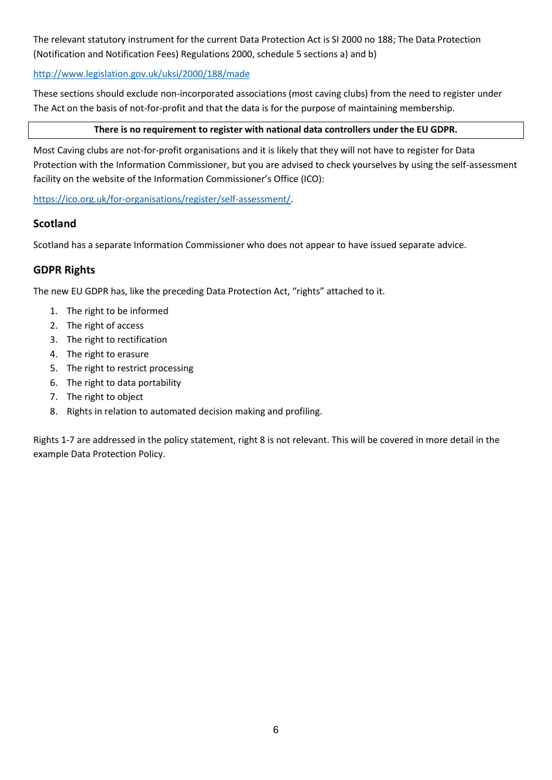The relevant statutory instrument for the current Data Protection Act is SI 2000 no 188; The Data Protection (Notification and Notification Fees) Regulations 2000, schedule 5 sections a) and b)

#### <http://www.legislation.gov.uk/uksi/2000/188/made>

These sections should exclude non-incorporated associations (most caving clubs) from the need to register under The Act on the basis of not-for-profit and that the data is for the purpose of maintaining membership.

#### **There is no requirement to register with national data controllers under the EU GDPR.**

Most Caving clubs are not-for-profit organisations and it is likely that they will not have to register for Data Protection with the Information Commissioner, but you are advised to check yourselves by using the self-assessment facility on the website of the Information Commissioner's Office (ICO):

[https://ico.org.uk/for-organisations/register/self-assessment/.](https://ico.org.uk/for-organisations/register/self-assessment/)

#### <span id="page-5-0"></span>**Scotland**

Scotland has a separate Information Commissioner who does not appear to have issued separate advice.

#### <span id="page-5-1"></span>**GDPR Rights**

The new EU GDPR has, like the preceding Data Protection Act, "rights" attached to it.

- 1. The right to be informed
- 2. The right of access
- 3. The right to rectification
- 4. The right to erasure
- 5. The right to restrict processing
- 6. The right to data portability
- 7. The right to object
- 8. Rights in relation to automated decision making and profiling.

<span id="page-5-2"></span>Rights 1-7 are addressed in the policy statement, right 8 is not relevant. This will be covered in more detail in the example Data Protection Policy.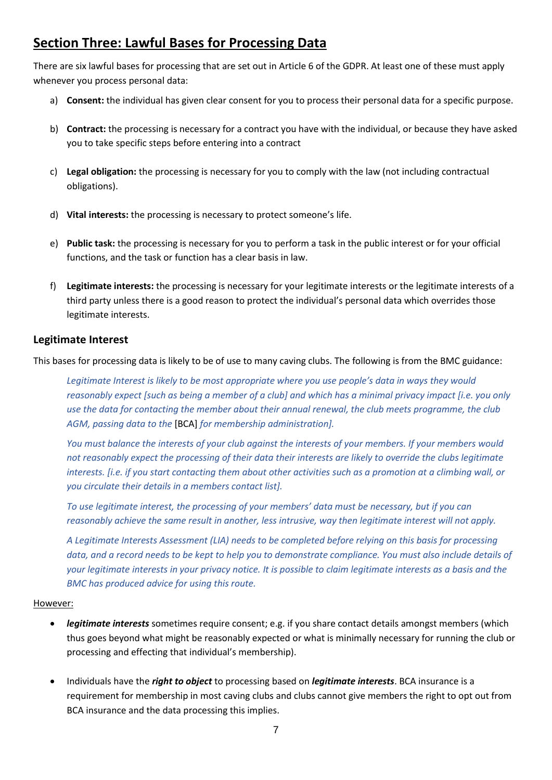### **Section Three: Lawful Bases for Processing Data**

There are six lawful bases for processing that are set out in Article 6 of the GDPR. At least one of these must apply whenever you process personal data:

- a) **Consent:** the individual has given clear consent for you to process their personal data for a specific purpose.
- b) **Contract:** the processing is necessary for a contract you have with the individual, or because they have asked you to take specific steps before entering into a contract
- c) **Legal obligation:** the processing is necessary for you to comply with the law (not including contractual obligations).
- d) **Vital interests:** the processing is necessary to protect someone's life.
- e) **Public task:** the processing is necessary for you to perform a task in the public interest or for your official functions, and the task or function has a clear basis in law.
- f) **Legitimate interests:** the processing is necessary for your legitimate interests or the legitimate interests of a third party unless there is a good reason to protect the individual's personal data which overrides those legitimate interests.

#### <span id="page-6-0"></span>**Legitimate Interest**

This bases for processing data is likely to be of use to many caving clubs. The following is from the BMC guidance:

*Legitimate Interest is likely to be most appropriate where you use people's data in ways they would reasonably expect [such as being a member of a club] and which has a minimal privacy impact [i.e. you only use the data for contacting the member about their annual renewal, the club meets programme, the club AGM, passing data to the* [BCA] *for membership administration].*

*You must balance the interests of your club against the interests of your members. If your members would not reasonably expect the processing of their data their interests are likely to override the clubs legitimate interests. [i.e. if you start contacting them about other activities such as a promotion at a climbing wall, or you circulate their details in a members contact list].*

*To use legitimate interest, the processing of your members' data must be necessary, but if you can reasonably achieve the same result in another, less intrusive, way then legitimate interest will not apply.*

*A Legitimate Interests Assessment (LIA) needs to be completed before relying on this basis for processing data, and a record needs to be kept to help you to demonstrate compliance. You must also include details of your legitimate interests in your privacy notice. It is possible to claim legitimate interests as a basis and the BMC has produced advice for using this route.* 

#### However:

- *legitimate interests* sometimes require consent; e.g. if you share contact details amongst members (which thus goes beyond what might be reasonably expected or what is minimally necessary for running the club or processing and effecting that individual's membership).
- Individuals have the *right to object* to processing based on *legitimate interests*. BCA insurance is a requirement for membership in most caving clubs and clubs cannot give members the right to opt out from BCA insurance and the data processing this implies.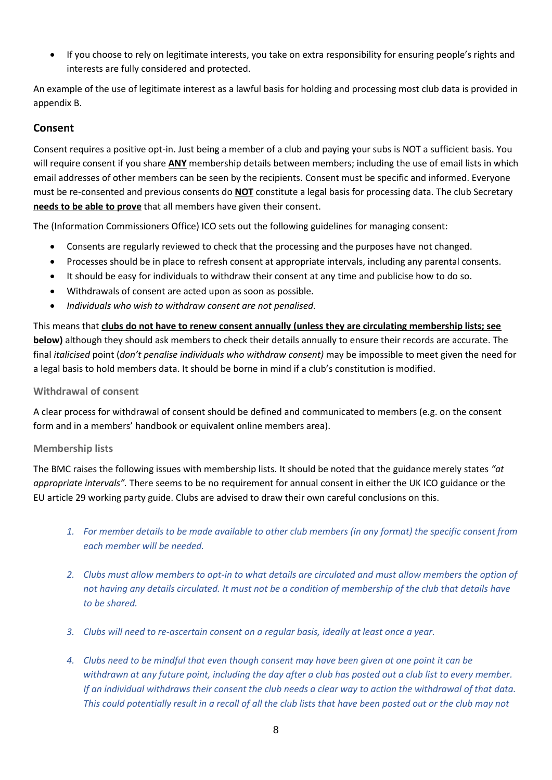• If you choose to rely on legitimate interests, you take on extra responsibility for ensuring people's rights and interests are fully considered and protected.

An example of the use of legitimate interest as a lawful basis for holding and processing most club data is provided in appendix B.

#### <span id="page-7-0"></span>**Consent**

Consent requires a positive opt-in. Just being a member of a club and paying your subs is NOT a sufficient basis. You will require consent if you share **ANY** membership details between members; including the use of email lists in which email addresses of other members can be seen by the recipients. Consent must be specific and informed. Everyone must be re-consented and previous consents do **NOT** constitute a legal basis for processing data. The club Secretary **needs to be able to prove** that all members have given their consent.

The (Information Commissioners Office) ICO sets out the following guidelines for managing consent:

- Consents are regularly reviewed to check that the processing and the purposes have not changed.
- Processes should be in place to refresh consent at appropriate intervals, including any parental consents.
- It should be easy for individuals to withdraw their consent at any time and publicise how to do so.
- Withdrawals of consent are acted upon as soon as possible.
- *Individuals who wish to withdraw consent are not penalised.*

This means that **clubs do not have to renew consent annually (unless they are circulating membership lists; see below)** although they should ask members to check their details annually to ensure their records are accurate. The final *italicised* point (*don't penalise individuals who withdraw consent)* may be impossible to meet given the need for a legal basis to hold members data. It should be borne in mind if a club's constitution is modified.

#### <span id="page-7-1"></span>**Withdrawal of consent**

A clear process for withdrawal of consent should be defined and communicated to members (e.g. on the consent form and in a members' handbook or equivalent online members area).

#### <span id="page-7-2"></span>**Membership lists**

The BMC raises the following issues with membership lists. It should be noted that the guidance merely states *"at appropriate intervals".* There seems to be no requirement for annual consent in either the UK ICO guidance or the EU article 29 working party guide. Clubs are advised to draw their own careful conclusions on this.

- *1. For member details to be made available to other club members (in any format) the specific consent from each member will be needed.*
- *2. Clubs must allow members to opt-in to what details are circulated and must allow members the option of not having any details circulated. It must not be a condition of membership of the club that details have to be shared.*
- *3. Clubs will need to re-ascertain consent on a regular basis, ideally at least once a year.*
- *4. Clubs need to be mindful that even though consent may have been given at one point it can be withdrawn at any future point, including the day after a club has posted out a club list to every member. If an individual withdraws their consent the club needs a clear way to action the withdrawal of that data. This could potentially result in a recall of all the club lists that have been posted out or the club may not*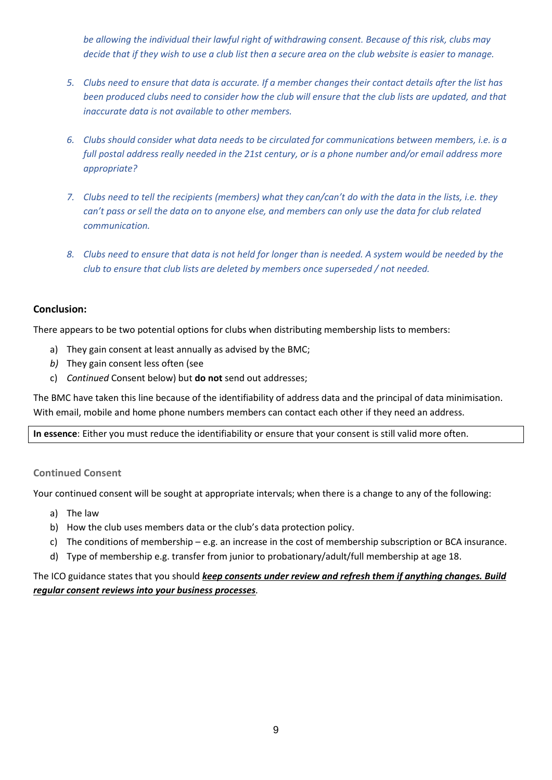*be allowing the individual their lawful right of withdrawing consent. Because of this risk, clubs may decide that if they wish to use a club list then a secure area on the club website is easier to manage.*

- *5. Clubs need to ensure that data is accurate. If a member changes their contact details after the list has been produced clubs need to consider how the club will ensure that the club lists are updated, and that inaccurate data is not available to other members.*
- *6. Clubs should consider what data needs to be circulated for communications between members, i.e. is a full postal address really needed in the 21st century, or is a phone number and/or email address more appropriate?*
- *7. Clubs need to tell the recipients (members) what they can/can't do with the data in the lists, i.e. they can't pass or sell the data on to anyone else, and members can only use the data for club related communication.*
- *8. Clubs need to ensure that data is not held for longer than is needed. A system would be needed by the club to ensure that club lists are deleted by members once superseded / not needed.*

#### **Conclusion:**

There appears to be two potential options for clubs when distributing membership lists to members:

- a) They gain consent at least annually as advised by the BMC;
- *b)* They gain consent less often (see
- c) *[Continued](#page-8-0)* Consent below) but **do not** send out addresses;

The BMC have taken this line because of the identifiability of address data and the principal of data minimisation. With email, mobile and home phone numbers members can contact each other if they need an address.

**In essence**: Either you must reduce the identifiability or ensure that your consent is still valid more often.

#### <span id="page-8-0"></span>**Continued Consent**

Your continued consent will be sought at appropriate intervals; when there is a change to any of the following:

- a) The law
- b) How the club uses members data or the club's data protection policy.
- c) The conditions of membership e.g. an increase in the cost of membership subscription or BCA insurance.
- d) Type of membership e.g. transfer from junior to probationary/adult/full membership at age 18.

<span id="page-8-1"></span>The ICO guidance states that you should *keep consents under review and refresh them if anything changes. Build regular consent reviews into your business processes.*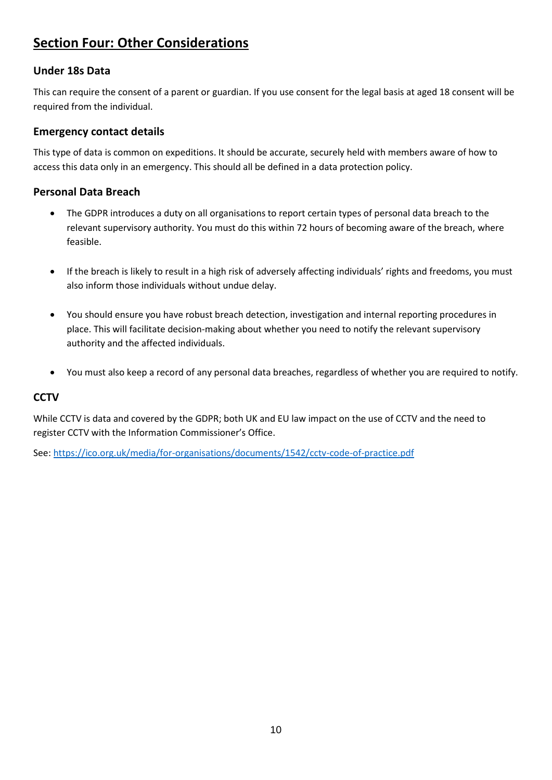### **Section Four: Other Considerations**

#### <span id="page-9-0"></span>**Under 18s Data**

This can require the consent of a parent or guardian. If you use consent for the legal basis at aged 18 consent will be required from the individual.

#### <span id="page-9-1"></span>**Emergency contact details**

This type of data is common on expeditions. It should be accurate, securely held with members aware of how to access this data only in an emergency. This should all be defined in a data protection policy.

#### <span id="page-9-2"></span>**Personal Data Breach**

- The GDPR introduces a duty on all organisations to report certain types of personal data breach to the relevant supervisory authority. You must do this within 72 hours of becoming aware of the breach, where feasible.
- If the breach is likely to result in a high risk of adversely affecting individuals' rights and freedoms, you must also inform those individuals without undue delay.
- You should ensure you have robust breach detection, investigation and internal reporting procedures in place. This will facilitate decision-making about whether you need to notify the relevant supervisory authority and the affected individuals.
- You must also keep a record of any personal data breaches, regardless of whether you are required to notify.

#### <span id="page-9-3"></span>**CCTV**

While CCTV is data and covered by the GDPR; both UK and EU law impact on the use of CCTV and the need to register CCTV with the Information Commissioner's Office.

See[: https://ico.org.uk/media/for-organisations/documents/1542/cctv-code-of-practice.pdf](https://ico.org.uk/media/for-organisations/documents/1542/cctv-code-of-practice.pdf)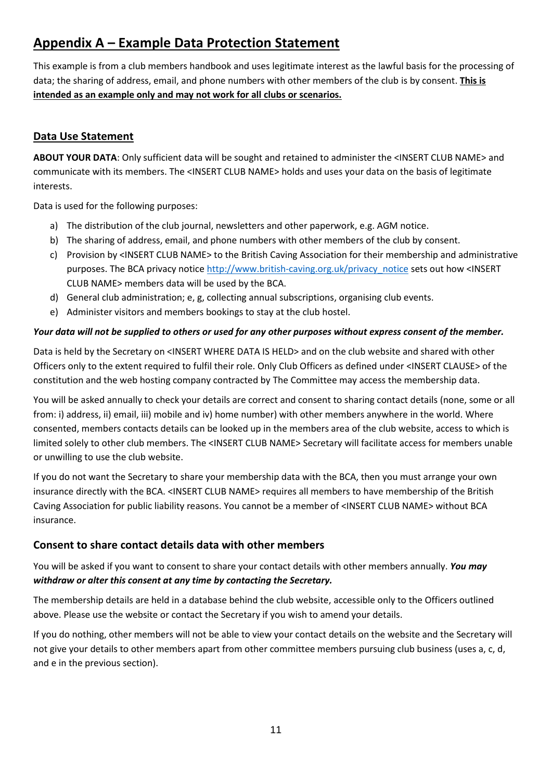## <span id="page-10-0"></span>**Appendix A – Example Data Protection Statement**

This example is from a club members handbook and uses legitimate interest as the lawful basis for the processing of data; the sharing of address, email, and phone numbers with other members of the club is by consent. **This is intended as an example only and may not work for all clubs or scenarios.**

#### <span id="page-10-1"></span>**Data Use Statement**

**ABOUT YOUR DATA**: Only sufficient data will be sought and retained to administer the <INSERT CLUB NAME> and communicate with its members. The <INSERT CLUB NAME> holds and uses your data on the basis of legitimate interests.

Data is used for the following purposes:

- a) The distribution of the club journal, newsletters and other paperwork, e.g. AGM notice.
- b) The sharing of address, email, and phone numbers with other members of the club by consent.
- c) Provision by <INSERT CLUB NAME> to the British Caving Association for their membership and administrative purposes. The BCA privacy notice [http://www.british-caving.org.uk/privacy\\_notice](http://www.british-caving.org.uk/privacy_notice) sets out how <INSERT CLUB NAME> members data will be used by the BCA.
- d) General club administration; e, g, collecting annual subscriptions, organising club events.
- e) Administer visitors and members bookings to stay at the club hostel.

#### *Your data will not be supplied to others or used for any other purposes without express consent of the member.*

Data is held by the Secretary on <INSERT WHERE DATA IS HELD> and on the club website and shared with other Officers only to the extent required to fulfil their role. Only Club Officers as defined under <INSERT CLAUSE> of the constitution and the web hosting company contracted by The Committee may access the membership data.

You will be asked annually to check your details are correct and consent to sharing contact details (none, some or all from: i) address, ii) email, iii) mobile and iv) home number) with other members anywhere in the world. Where consented, members contacts details can be looked up in the members area of the club website, access to which is limited solely to other club members. The <INSERT CLUB NAME> Secretary will facilitate access for members unable or unwilling to use the club website.

If you do not want the Secretary to share your membership data with the BCA, then you must arrange your own insurance directly with the BCA. <INSERT CLUB NAME> requires all members to have membership of the British Caving Association for public liability reasons. You cannot be a member of <INSERT CLUB NAME> without BCA insurance.

#### <span id="page-10-2"></span>**Consent to share contact details data with other members**

You will be asked if you want to consent to share your contact details with other members annually. *You may withdraw or alter this consent at any time by contacting the Secretary.* 

The membership details are held in a database behind the club website, accessible only to the Officers outlined above. Please use the website or contact the Secretary if you wish to amend your details.

If you do nothing, other members will not be able to view your contact details on the website and the Secretary will not give your details to other members apart from other committee members pursuing club business (uses a, c, d, and e in the previous section).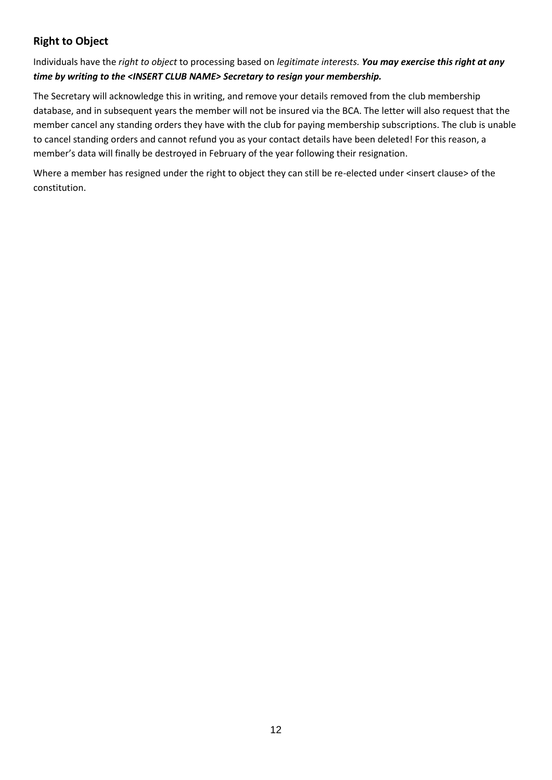#### <span id="page-11-0"></span>**Right to Object**

Individuals have the *right to object* to processing based on *legitimate interests. You may exercise this right at any time by writing to the <INSERT CLUB NAME> Secretary to resign your membership.* 

The Secretary will acknowledge this in writing, and remove your details removed from the club membership database, and in subsequent years the member will not be insured via the BCA. The letter will also request that the member cancel any standing orders they have with the club for paying membership subscriptions. The club is unable to cancel standing orders and cannot refund you as your contact details have been deleted! For this reason, a member's data will finally be destroyed in February of the year following their resignation.

<span id="page-11-1"></span>Where a member has resigned under the right to object they can still be re-elected under <insert clause> of the constitution.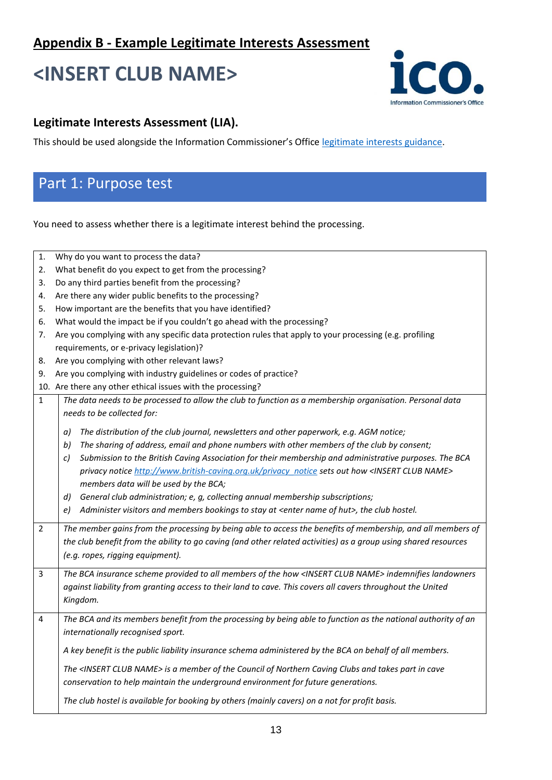## **<INSERT CLUB NAME>**



#### **Legitimate Interests Assessment (LIA).**

This should be used alongside the Information Commissioner's Office [legitimate interests guidance.](https://ico.org.uk/for-organisations/guide-to-the-general-data-protection-regulation-gdpr/lawful-basis-for-processing/legitimate-interests/)

## Part 1: Purpose test

You need to assess whether there is a legitimate interest behind the processing.

| 1.             | Why do you want to process the data?                                                                                 |  |  |
|----------------|----------------------------------------------------------------------------------------------------------------------|--|--|
| 2.             | What benefit do you expect to get from the processing?                                                               |  |  |
| 3.             | Do any third parties benefit from the processing?                                                                    |  |  |
| 4.             | Are there any wider public benefits to the processing?                                                               |  |  |
| 5.             | How important are the benefits that you have identified?                                                             |  |  |
| 6.             | What would the impact be if you couldn't go ahead with the processing?                                               |  |  |
| 7.             | Are you complying with any specific data protection rules that apply to your processing (e.g. profiling              |  |  |
|                | requirements, or e-privacy legislation)?                                                                             |  |  |
| 8.             | Are you complying with other relevant laws?                                                                          |  |  |
| 9.             | Are you complying with industry guidelines or codes of practice?                                                     |  |  |
|                | 10. Are there any other ethical issues with the processing?                                                          |  |  |
| $\mathbf{1}$   | The data needs to be processed to allow the club to function as a membership organisation. Personal data             |  |  |
|                | needs to be collected for:                                                                                           |  |  |
|                | The distribution of the club journal, newsletters and other paperwork, e.g. AGM notice;<br>a)                        |  |  |
|                | The sharing of address, email and phone numbers with other members of the club by consent;<br>b)                     |  |  |
|                | Submission to the British Caving Association for their membership and administrative purposes. The BCA<br>C)         |  |  |
|                | privacy notice http://www.british-caving.org.uk/privacy notice sets out how <insert club="" name=""></insert>        |  |  |
|                | members data will be used by the BCA;                                                                                |  |  |
|                | General club administration; e, g, collecting annual membership subscriptions;<br>d)                                 |  |  |
|                | Administer visitors and members bookings to stay at <enter hut="" name="" of="">, the club hostel.<br/>e)</enter>    |  |  |
|                |                                                                                                                      |  |  |
| $\overline{2}$ | The member gains from the processing by being able to access the benefits of membership, and all members of          |  |  |
|                | the club benefit from the ability to go caving (and other related activities) as a group using shared resources      |  |  |
|                | (e.g. ropes, rigging equipment).                                                                                     |  |  |
| 3              | The BCA insurance scheme provided to all members of the how <insert club="" name=""> indemnifies landowners</insert> |  |  |
|                | against liability from granting access to their land to cave. This covers all cavers throughout the United           |  |  |
|                | Kingdom.                                                                                                             |  |  |
|                |                                                                                                                      |  |  |
| 4              | The BCA and its members benefit from the processing by being able to function as the national authority of an        |  |  |
|                | internationally recognised sport.                                                                                    |  |  |
|                | A key benefit is the public liability insurance schema administered by the BCA on behalf of all members.             |  |  |
|                | The <insert club="" name=""> is a member of the Council of Northern Caving Clubs and takes part in cave</insert>     |  |  |
|                | conservation to help maintain the underground environment for future generations.                                    |  |  |
|                |                                                                                                                      |  |  |
|                | The club hostel is available for booking by others (mainly cavers) on a not for profit basis.                        |  |  |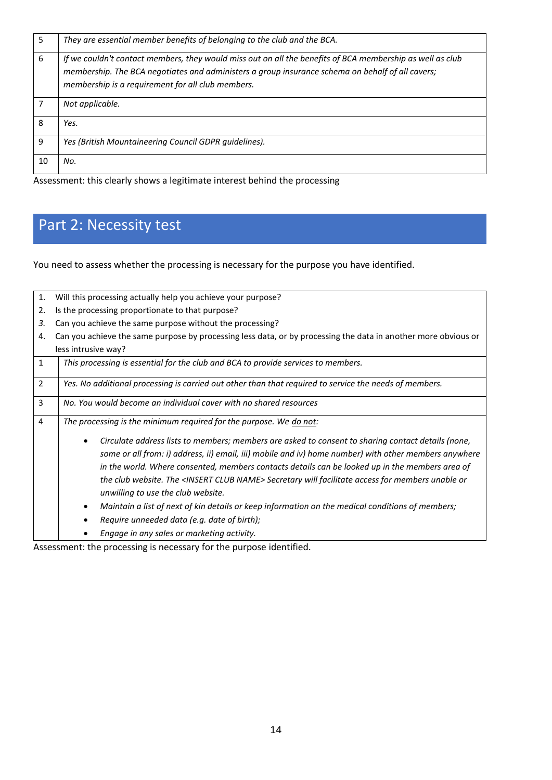| 5  | They are essential member benefits of belonging to the club and the BCA.                                                                                                                                                                                           |
|----|--------------------------------------------------------------------------------------------------------------------------------------------------------------------------------------------------------------------------------------------------------------------|
| 6  | If we couldn't contact members, they would miss out on all the benefits of BCA membership as well as club<br>membership. The BCA negotiates and administers a group insurance schema on behalf of all cavers;<br>membership is a requirement for all club members. |
|    | Not applicable.                                                                                                                                                                                                                                                    |
| 8  | Yes.                                                                                                                                                                                                                                                               |
| q  | Yes (British Mountaineering Council GDPR guidelines).                                                                                                                                                                                                              |
| 10 | No.                                                                                                                                                                                                                                                                |

Assessment: this clearly shows a legitimate interest behind the processing

## Part 2: Necessity test

You need to assess whether the processing is necessary for the purpose you have identified.

| 1.             | Will this processing actually help you achieve your purpose?                                                                                                                                                                                                                                                                                                                                                                                                                                                                                                                 |  |  |  |
|----------------|------------------------------------------------------------------------------------------------------------------------------------------------------------------------------------------------------------------------------------------------------------------------------------------------------------------------------------------------------------------------------------------------------------------------------------------------------------------------------------------------------------------------------------------------------------------------------|--|--|--|
| 2.             | Is the processing proportionate to that purpose?                                                                                                                                                                                                                                                                                                                                                                                                                                                                                                                             |  |  |  |
| 3.             | Can you achieve the same purpose without the processing?                                                                                                                                                                                                                                                                                                                                                                                                                                                                                                                     |  |  |  |
| 4.             | Can you achieve the same purpose by processing less data, or by processing the data in another more obvious or                                                                                                                                                                                                                                                                                                                                                                                                                                                               |  |  |  |
|                | less intrusive way?                                                                                                                                                                                                                                                                                                                                                                                                                                                                                                                                                          |  |  |  |
| $\mathbf{1}$   | This processing is essential for the club and BCA to provide services to members.                                                                                                                                                                                                                                                                                                                                                                                                                                                                                            |  |  |  |
| 2              | Yes. No additional processing is carried out other than that required to service the needs of members.                                                                                                                                                                                                                                                                                                                                                                                                                                                                       |  |  |  |
| 3              | No. You would become an individual caver with no shared resources                                                                                                                                                                                                                                                                                                                                                                                                                                                                                                            |  |  |  |
| $\overline{4}$ | The processing is the minimum required for the purpose. We do not:                                                                                                                                                                                                                                                                                                                                                                                                                                                                                                           |  |  |  |
|                | Circulate address lists to members; members are asked to consent to sharing contact details (none,<br>some or all from: i) address, ii) email, iii) mobile and iv) home number) with other members anywhere<br>in the world. Where consented, members contacts details can be looked up in the members area of<br>the club website. The <insert club="" name=""> Secretary will facilitate access for members unable or<br/>unwilling to use the club website.<br/>Maintain a list of next of kin details or keep information on the medical conditions of members;</insert> |  |  |  |
|                | Require unneeded data (e.g. date of birth);                                                                                                                                                                                                                                                                                                                                                                                                                                                                                                                                  |  |  |  |
|                | Engage in any sales or marketing activity.                                                                                                                                                                                                                                                                                                                                                                                                                                                                                                                                   |  |  |  |

Assessment: the processing is necessary for the purpose identified.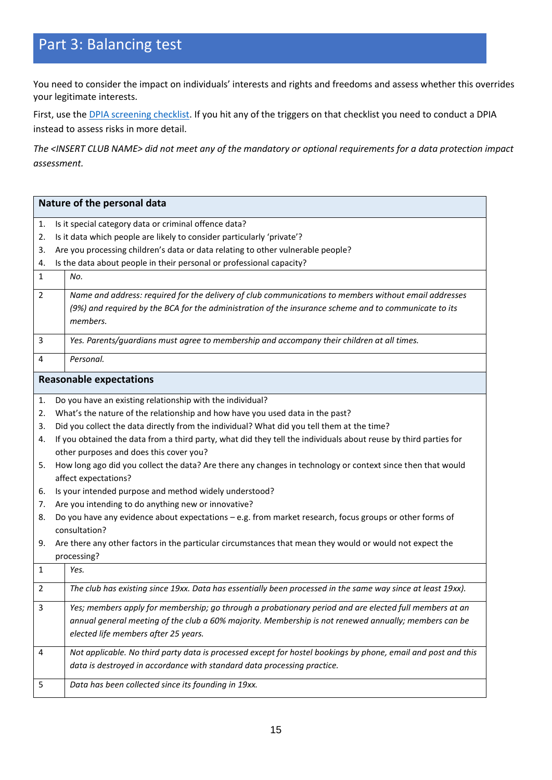## Part 3: Balancing test

You need to consider the impact on individuals' interests and rights and freedoms and assess whether this overrides your legitimate interests.

First, use the **DPIA screening checklist**. If you hit any of the triggers on that checklist you need to conduct a DPIA instead to assess risks in more detail.

*The <INSERT CLUB NAME> did not meet any of the mandatory or optional requirements for a data protection impact assessment.*

| Nature of the personal data |                                                                                                                  |  |  |  |
|-----------------------------|------------------------------------------------------------------------------------------------------------------|--|--|--|
| 1.                          | Is it special category data or criminal offence data?                                                            |  |  |  |
| 2.                          | Is it data which people are likely to consider particularly 'private'?                                           |  |  |  |
| 3.                          | Are you processing children's data or data relating to other vulnerable people?                                  |  |  |  |
| 4.                          | Is the data about people in their personal or professional capacity?                                             |  |  |  |
| $\mathbf{1}$                | No.                                                                                                              |  |  |  |
| $\overline{2}$              | Name and address: required for the delivery of club communications to members without email addresses            |  |  |  |
|                             | (9%) and required by the BCA for the administration of the insurance scheme and to communicate to its            |  |  |  |
|                             | members.                                                                                                         |  |  |  |
| 3                           | Yes. Parents/guardians must agree to membership and accompany their children at all times.                       |  |  |  |
| 4                           | Personal.                                                                                                        |  |  |  |
|                             | <b>Reasonable expectations</b>                                                                                   |  |  |  |
| 1.                          | Do you have an existing relationship with the individual?                                                        |  |  |  |
| 2.                          | What's the nature of the relationship and how have you used data in the past?                                    |  |  |  |
| 3.                          | Did you collect the data directly from the individual? What did you tell them at the time?                       |  |  |  |
| 4.                          | If you obtained the data from a third party, what did they tell the individuals about reuse by third parties for |  |  |  |
|                             | other purposes and does this cover you?                                                                          |  |  |  |
| 5.                          | How long ago did you collect the data? Are there any changes in technology or context since then that would      |  |  |  |
|                             | affect expectations?                                                                                             |  |  |  |
| 6.                          | Is your intended purpose and method widely understood?                                                           |  |  |  |
| 7.                          | Are you intending to do anything new or innovative?                                                              |  |  |  |
| 8.                          | Do you have any evidence about expectations - e.g. from market research, focus groups or other forms of          |  |  |  |
|                             | consultation?                                                                                                    |  |  |  |
| 9.                          | Are there any other factors in the particular circumstances that mean they would or would not expect the         |  |  |  |
| $\mathbf{1}$                | processing?<br>Yes.                                                                                              |  |  |  |
|                             |                                                                                                                  |  |  |  |
| 2                           | The club has existing since 19xx. Data has essentially been processed in the same way since at least 19xx).      |  |  |  |
| 3                           | Yes; members apply for membership; go through a probationary period and are elected full members at an           |  |  |  |
|                             | annual general meeting of the club a 60% majority. Membership is not renewed annually; members can be            |  |  |  |
|                             | elected life members after 25 years.                                                                             |  |  |  |
| 4                           | Not applicable. No third party data is processed except for hostel bookings by phone, email and post and this    |  |  |  |
|                             | data is destroyed in accordance with standard data processing practice.                                          |  |  |  |
| 5                           | Data has been collected since its founding in 19xx.                                                              |  |  |  |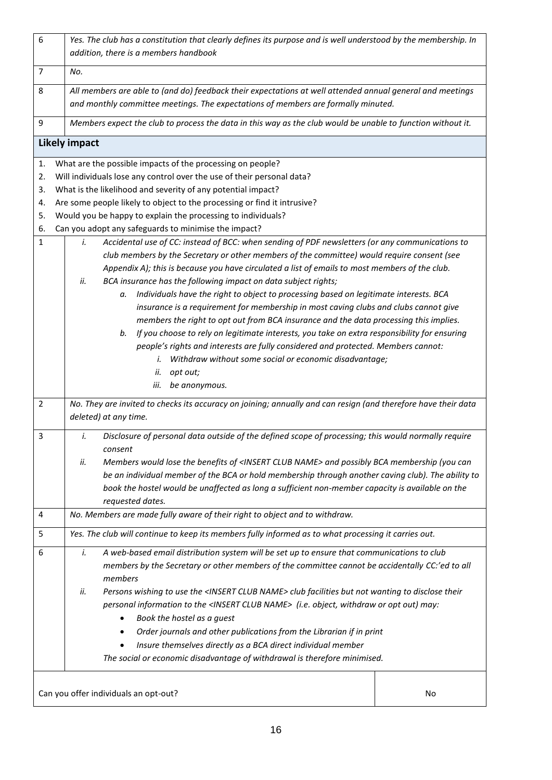| $\boldsymbol{6}$ | Yes. The club has a constitution that clearly defines its purpose and is well understood by the membership. In                          |    |  |
|------------------|-----------------------------------------------------------------------------------------------------------------------------------------|----|--|
|                  | addition, there is a members handbook                                                                                                   |    |  |
| $\overline{7}$   | No.                                                                                                                                     |    |  |
| 8                | All members are able to (and do) feedback their expectations at well attended annual general and meetings                               |    |  |
|                  | and monthly committee meetings. The expectations of members are formally minuted.                                                       |    |  |
| 9                | Members expect the club to process the data in this way as the club would be unable to function without it.                             |    |  |
|                  | <b>Likely impact</b>                                                                                                                    |    |  |
| 1.               | What are the possible impacts of the processing on people?                                                                              |    |  |
| 2.               | Will individuals lose any control over the use of their personal data?                                                                  |    |  |
| 3.               | What is the likelihood and severity of any potential impact?                                                                            |    |  |
| 4.               | Are some people likely to object to the processing or find it intrusive?                                                                |    |  |
| 5.               | Would you be happy to explain the processing to individuals?                                                                            |    |  |
| 6.               | Can you adopt any safeguards to minimise the impact?                                                                                    |    |  |
| $\mathbf{1}$     | Accidental use of CC: instead of BCC: when sending of PDF newsletters (or any communications to<br>i.                                   |    |  |
|                  | club members by the Secretary or other members of the committee) would require consent (see                                             |    |  |
|                  | Appendix A); this is because you have circulated a list of emails to most members of the club.                                          |    |  |
|                  | BCA insurance has the following impact on data subject rights;<br>ii.                                                                   |    |  |
|                  | Individuals have the right to object to processing based on legitimate interests. BCA<br>а.                                             |    |  |
|                  | insurance is a requirement for membership in most caving clubs and clubs cannot give                                                    |    |  |
|                  | members the right to opt out from BCA insurance and the data processing this implies.                                                   |    |  |
|                  | If you choose to rely on legitimate interests, you take on extra responsibility for ensuring<br>b.                                      |    |  |
|                  | people's rights and interests are fully considered and protected. Members cannot:                                                       |    |  |
|                  | Withdraw without some social or economic disadvantage;<br>i.                                                                            |    |  |
|                  | opt out;<br>ii.                                                                                                                         |    |  |
|                  | iii.<br>be anonymous.                                                                                                                   |    |  |
| $\overline{2}$   | No. They are invited to checks its accuracy on joining; annually and can resign (and therefore have their data<br>deleted) at any time. |    |  |
|                  |                                                                                                                                         |    |  |
| 3                | Disclosure of personal data outside of the defined scope of processing; this would normally require<br>i.<br>consent                    |    |  |
|                  | Members would lose the benefits of <insert club="" name=""> and possibly BCA membership (you can<br/>ii.</insert>                       |    |  |
|                  | be an individual member of the BCA or hold membership through another caving club). The ability to                                      |    |  |
|                  | book the hostel would be unaffected as long a sufficient non-member capacity is available on the                                        |    |  |
|                  | requested dates.                                                                                                                        |    |  |
| 4                | No. Members are made fully aware of their right to object and to withdraw.                                                              |    |  |
| 5                | Yes. The club will continue to keep its members fully informed as to what processing it carries out.                                    |    |  |
| 6                | A web-based email distribution system will be set up to ensure that communications to club<br>i.                                        |    |  |
|                  | members by the Secretary or other members of the committee cannot be accidentally CC:'ed to all<br>members                              |    |  |
|                  | Persons wishing to use the <insert club="" name=""> club facilities but not wanting to disclose their<br/>ii.</insert>                  |    |  |
|                  | personal information to the <insert club="" name=""> (i.e. object, withdraw or opt out) may:</insert>                                   |    |  |
|                  | Book the hostel as a guest                                                                                                              |    |  |
|                  | Order journals and other publications from the Librarian if in print                                                                    |    |  |
|                  | Insure themselves directly as a BCA direct individual member                                                                            |    |  |
|                  | The social or economic disadvantage of withdrawal is therefore minimised.                                                               |    |  |
|                  |                                                                                                                                         |    |  |
|                  | Can you offer individuals an opt-out?                                                                                                   | No |  |